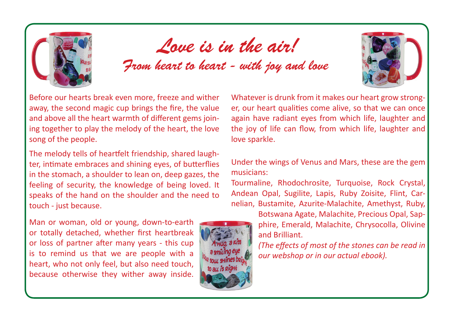

## Love is in the air!

From heart to heart - with joy and love

Before our hearts break even more, freeze and wither away, the second magic cup brings the fire, the value and above all the heart warmth of different gems joining together to play the melody of the heart, the love song of the people.

The melody tells of heartfelt friendship, shared laughter, intimate embraces and shining eyes, of butterflies in the stomach, a shoulder to lean on, deep gazes, the feeling of security, the knowledge of being loved. It speaks of the hand on the shoulder and the need to touch - just because.

Man or woman, old or young, down-to-earth or totally detached, whether first heartbreak or loss of partner after many years - this cup is to remind us that we are people with a heart, who not only feel, but also need touch, because otherwise they wither away inside.



Whatever is drunk from it makes our heart grow stronger, our heart qualities come alive, so that we can once again have radiant eyes from which life, laughter and the joy of life can flow, from which life, laughter and love sparkle.

Under the wings of Venus and Mars, these are the gem musicians:

Tourmaline, Rhodochrosite, Turquoise, Rock Crystal, Andean Opal, Sugilite, Lapis, Ruby Zoisite, Flint, Carnelian, Bustamite, Azurite-Malachite, Amethyst, Ruby,

> Botswana Agate, Malachite, Precious Opal, Sapphire, Emerald, Malachite, Chrysocolla, Olivine and Brilliant.

> *(The effects of most of the stones can be read in our webshop or in our actual ebook).*